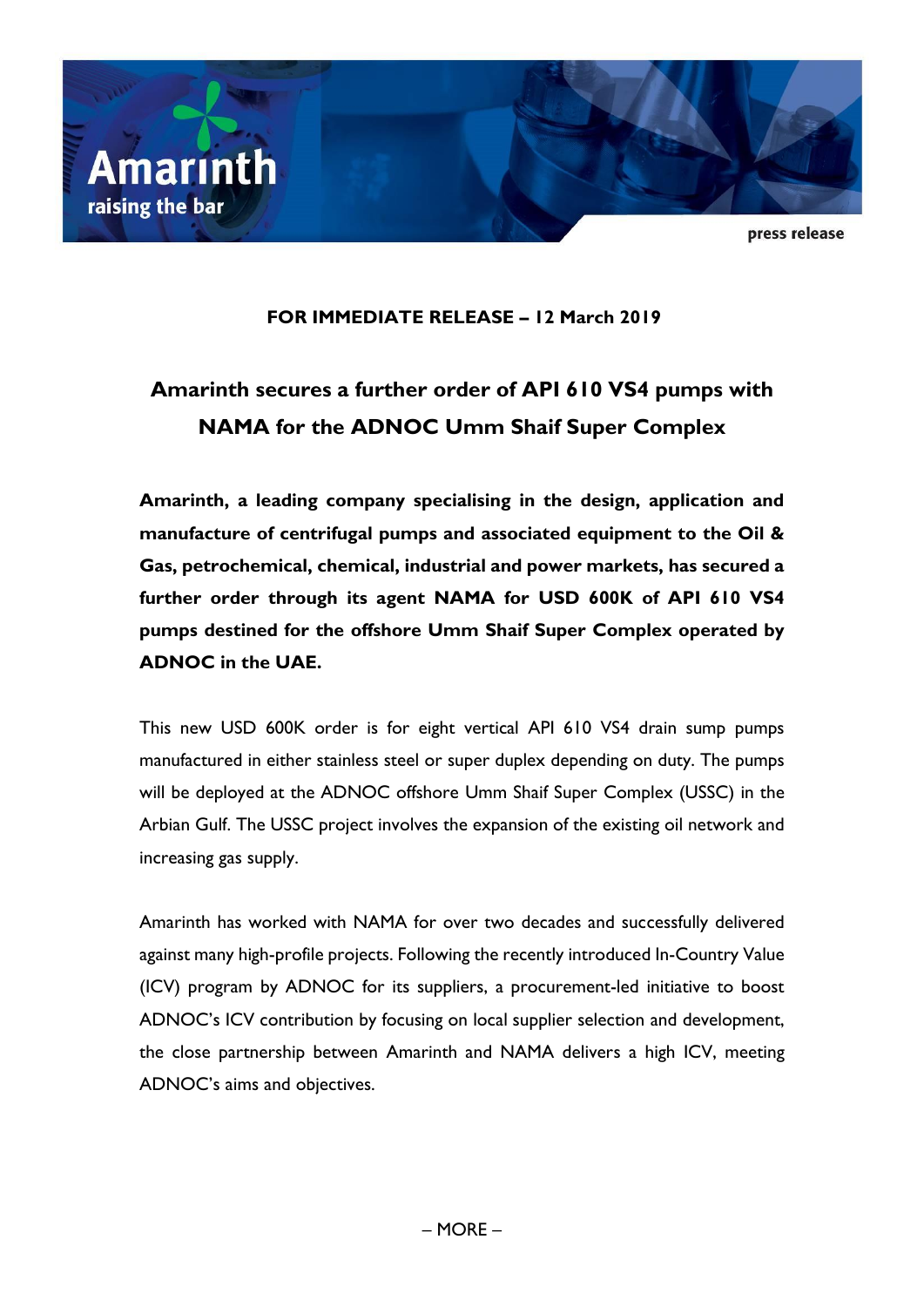

press release

## **FOR IMMEDIATE RELEASE – 12 March 2019**

# **Amarinth secures a further order of API 610 VS4 pumps with NAMA for the ADNOC Umm Shaif Super Complex**

**Amarinth, a leading company specialising in the design, application and manufacture of centrifugal pumps and associated equipment to the Oil & Gas, petrochemical, chemical, industrial and power markets, has secured a further order through its agent NAMA for USD 600K of API 610 VS4 pumps destined for the offshore Umm Shaif Super Complex operated by ADNOC in the UAE.**

This new USD 600K order is for eight vertical API 610 VS4 drain sump pumps manufactured in either stainless steel or super duplex depending on duty. The pumps will be deployed at the ADNOC offshore Umm Shaif Super Complex (USSC) in the Arbian Gulf. The USSC project involves the expansion of the existing oil network and increasing gas supply.

Amarinth has worked with NAMA for over two decades and successfully delivered against many high-profile projects. Following the recently introduced In-Country Value (ICV) program by ADNOC for its suppliers, a procurement-led initiative to boost ADNOC's ICV contribution by focusing on local supplier selection and development, the close partnership between Amarinth and NAMA delivers a high ICV, meeting ADNOC's aims and objectives.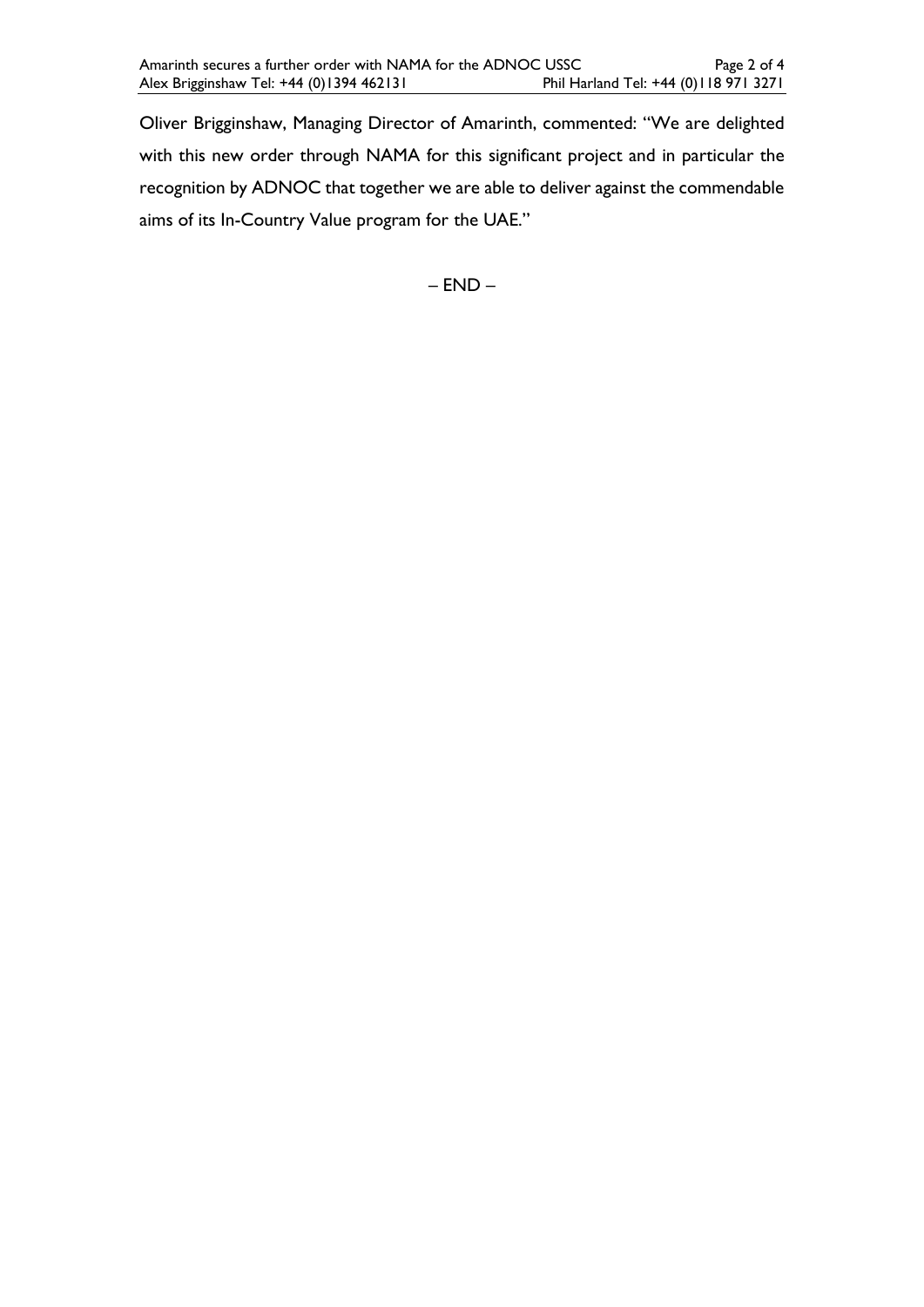Oliver Brigginshaw, Managing Director of Amarinth, commented: "We are delighted with this new order through NAMA for this significant project and in particular the recognition by ADNOC that together we are able to deliver against the commendable aims of its In-Country Value program for the UAE."

– END –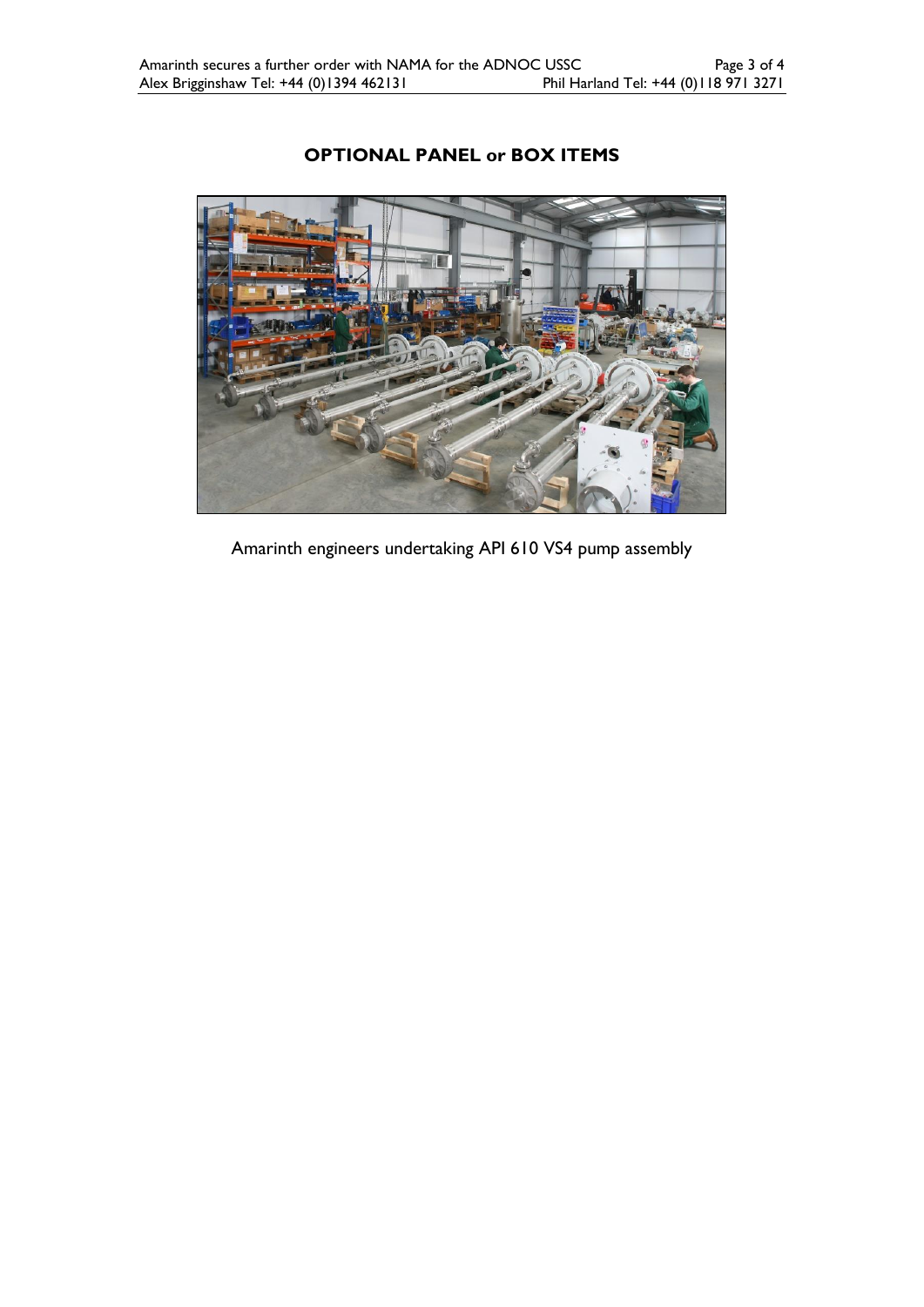

# **OPTIONAL PANEL or BOX ITEMS**

Amarinth engineers undertaking API 610 VS4 pump assembly